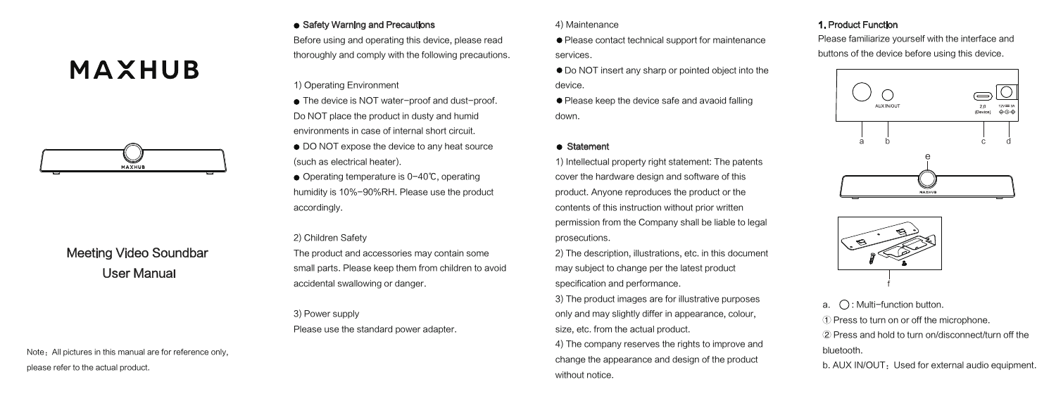4) Maintenance

● Do NOT insert any sharp or pointed object into the device.

● Please keep the device safe and avaoid falling down.

### **•** Statement

1) Intellectual property right statement: The patents cover the hardware design and software of this product. Anyone reproduces the product or the contents of this instruction without prior written permission from the Company shall be liable to legal prosecutions.

Note: All pictures in this manual are for reference only, please refer to the actual product.

2) The description, illustrations, etc. in this document may subject to change per the latest product specification and performance.

3) The product images are for illustrative purposes only and may slightly differ in appearance, colour, size, etc. from the actual product.

- The device is NOT water-proof and dust-proof. Do NOT place the product in dusty and humid environments in case of internal short circuit.
- DO NOT expose the device to any heat source (such as electrical heater).
- Operating temperature is 0-40℃, operating humidity is 10%-90%RH. Please use the product accordingly.

4) The company reserves the rights to improve and change the appearance and design of the product without notice.

# **MAXHUB**



# Meeting Video Soundbar User Manual

#### • Safety Warning and Precautions

● Please contact technical support for maintenance services. Please familiarize yourself with the interface and buttons of the device before using this device.

Before using and operating this device, please read thoroughly and comply with the following precautions.

1) Operating Environment

2) Children Safety

The product and accessories may contain some small parts. Please keep them from children to avoid accidental swallowing or danger.

3) Power supply Please use the standard power adapter.

① Press to turn on or off the microphone.

② Press and hold to turn on/disconnect/turn off the bluetooth.

b. AUX IN/OUT: Used for external audio equipment.



a.  $\bigcap$ : Multi-function button.

### 1. Product Function